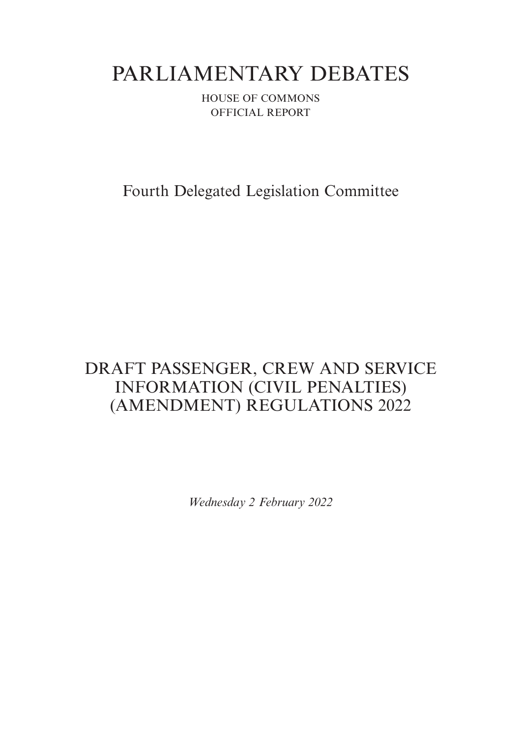# PARLIAMENTARY DEBATES

HOUSE OF COMMONS OFFICIAL REPORT

Fourth Delegated Legislation Committee

## DRAFT PASSENGER, CREW AND SERVICE INFORMATION (CIVIL PENALTIES) (AMENDMENT) REGULATIONS 2022

*Wednesday 2 February 2022*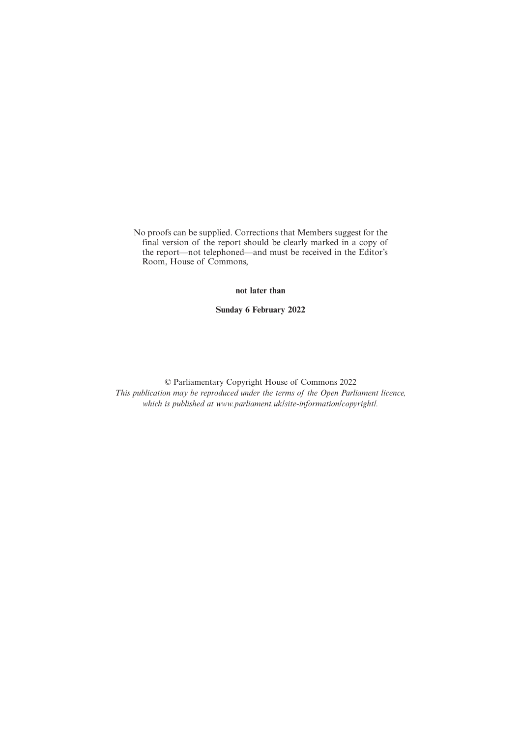No proofs can be supplied. Corrections that Members suggest for the final version of the report should be clearly marked in a copy of the report—not telephoned—and must be received in the Editor's Room, House of Commons,

**not later than**

**Sunday 6 February 2022**

© Parliamentary Copyright House of Commons 2022 *This publication may be reproduced under the terms of the Open Parliament licence, which is published at www.parliament.uk/site-information/copyright/.*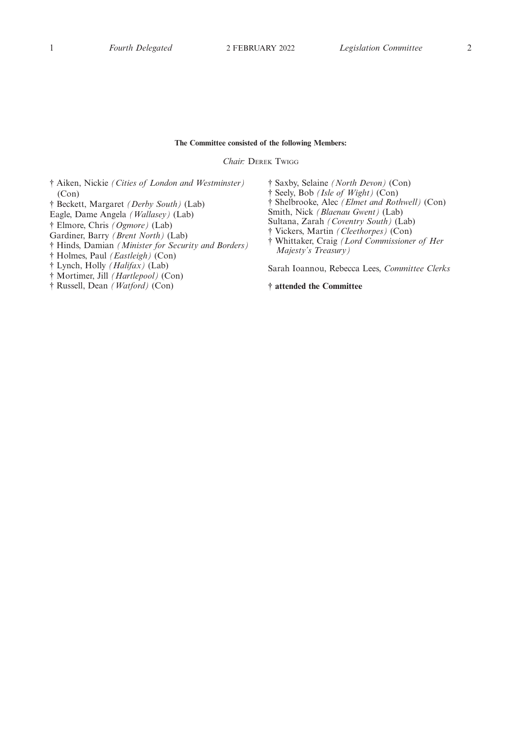## **The Committee consisted of the following Members:**

*Chair:* DEREK TWIGG

† Aiken, Nickie *(Cities of London and Westminster)* (Con)

- † Beckett, Margaret *(Derby South)* (Lab)
- Eagle, Dame Angela *(Wallasey)* (Lab)
- † Elmore, Chris *(Ogmore)* (Lab)

Gardiner, Barry *(Brent North)* (Lab)

- † Hinds, Damian *(Minister for Security and Borders)*
- † Holmes, Paul *(Eastleigh)* (Con)

† Lynch, Holly *(Halifax)* (Lab)

- † Mortimer, Jill *(Hartlepool)* (Con)
- † Russell, Dean *(Watford)* (Con)

† Saxby, Selaine *(North Devon)* (Con) † Seely, Bob *(Isle of Wight)* (Con) † Shelbrooke, Alec *(Elmet and Rothwell)* (Con) Smith, Nick *(Blaenau Gwent)* (Lab) Sultana, Zarah *(Coventry South)* (Lab) † Vickers, Martin *(Cleethorpes)* (Con) † Whittaker, Craig *(Lord Commissioner of Her Majesty's Treasury)* Sarah Ioannou, Rebecca Lees, *Committee Clerks*

**† attended the Committee**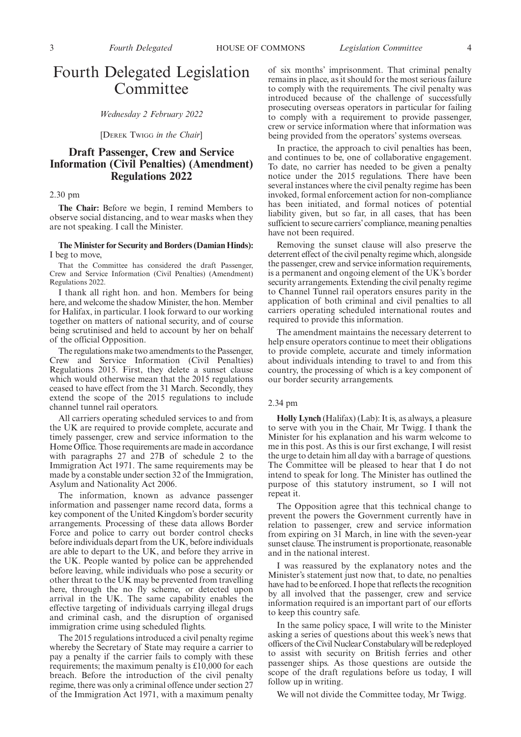## Fourth Delegated Legislation Committee

*Wednesday 2 February 2022*

[DEREK TWIGG *in the Chair*]

## **Draft Passenger, Crew and Service Information (Civil Penalties) (Amendment) Regulations 2022**

### 2.30 pm

**The Chair:** Before we begin, I remind Members to observe social distancing, and to wear masks when they are not speaking. I call the Minister.

#### **The Minister for Security and Borders (Damian Hinds):** I beg to move,

That the Committee has considered the draft Passenger, Crew and Service Information (Civil Penalties) (Amendment) Regulations 2022.

I thank all right hon. and hon. Members for being here, and welcome the shadow Minister, the hon. Member for Halifax, in particular. I look forward to our working together on matters of national security, and of course being scrutinised and held to account by her on behalf of the official Opposition.

The regulations make two amendments to the Passenger, Crew and Service Information (Civil Penalties) Regulations 2015. First, they delete a sunset clause which would otherwise mean that the 2015 regulations ceased to have effect from the 31 March. Secondly, they extend the scope of the 2015 regulations to include channel tunnel rail operators.

All carriers operating scheduled services to and from the UK are required to provide complete, accurate and timely passenger, crew and service information to the Home Office. Those requirements are made in accordance with paragraphs 27 and 27B of schedule 2 to the Immigration Act 1971. The same requirements may be made by a constable under section 32 of the Immigration, Asylum and Nationality Act 2006.

The information, known as advance passenger information and passenger name record data, forms a key component of the United Kingdom's border security arrangements. Processing of these data allows Border Force and police to carry out border control checks before individuals depart from the UK, before individuals are able to depart to the UK, and before they arrive in the UK. People wanted by police can be apprehended before leaving, while individuals who pose a security or other threat to the UK may be prevented from travelling here, through the no fly scheme, or detected upon arrival in the UK. The same capability enables the effective targeting of individuals carrying illegal drugs and criminal cash, and the disruption of organised immigration crime using scheduled flights.

The 2015 regulations introduced a civil penalty regime whereby the Secretary of State may require a carrier to pay a penalty if the carrier fails to comply with these requirements; the maximum penalty is £10,000 for each breach. Before the introduction of the civil penalty regime, there was only a criminal offence under section 27 of the Immigration Act 1971, with a maximum penalty of six months' imprisonment. That criminal penalty remains in place, as it should for the most serious failure to comply with the requirements. The civil penalty was introduced because of the challenge of successfully prosecuting overseas operators in particular for failing to comply with a requirement to provide passenger, crew or service information where that information was being provided from the operators' systems overseas.

In practice, the approach to civil penalties has been, and continues to be, one of collaborative engagement. To date, no carrier has needed to be given a penalty notice under the 2015 regulations. There have been several instances where the civil penalty regime has been invoked, formal enforcement action for non-compliance has been initiated, and formal notices of potential liability given, but so far, in all cases, that has been sufficient to secure carriers'compliance, meaning penalties have not been required.

Removing the sunset clause will also preserve the deterrent effect of the civil penalty regime which, alongside the passenger, crew and service information requirements, is a permanent and ongoing element of the UK's border security arrangements. Extending the civil penalty regime to Channel Tunnel rail operators ensures parity in the application of both criminal and civil penalties to all carriers operating scheduled international routes and required to provide this information.

The amendment maintains the necessary deterrent to help ensure operators continue to meet their obligations to provide complete, accurate and timely information about individuals intending to travel to and from this country, the processing of which is a key component of our border security arrangements.

### 2.34 pm

**Holly Lynch** (Halifax) (Lab): It is, as always, a pleasure to serve with you in the Chair, Mr Twigg. I thank the Minister for his explanation and his warm welcome to me in this post. As this is our first exchange, I will resist the urge to detain him all day with a barrage of questions. The Committee will be pleased to hear that I do not intend to speak for long. The Minister has outlined the purpose of this statutory instrument, so I will not repeat it.

The Opposition agree that this technical change to prevent the powers the Government currently have in relation to passenger, crew and service information from expiring on 31 March, in line with the seven-year sunset clause. The instrument is proportionate, reasonable and in the national interest.

I was reassured by the explanatory notes and the Minister's statement just now that, to date, no penalties have had to be enforced. I hope that reflects the recognition by all involved that the passenger, crew and service information required is an important part of our efforts to keep this country safe.

In the same policy space, I will write to the Minister asking a series of questions about this week's news that officers of the Civil Nuclear Constabulary will be redeployed to assist with security on British ferries and other passenger ships. As those questions are outside the scope of the draft regulations before us today, I will follow up in writing.

We will not divide the Committee today, Mr Twigg.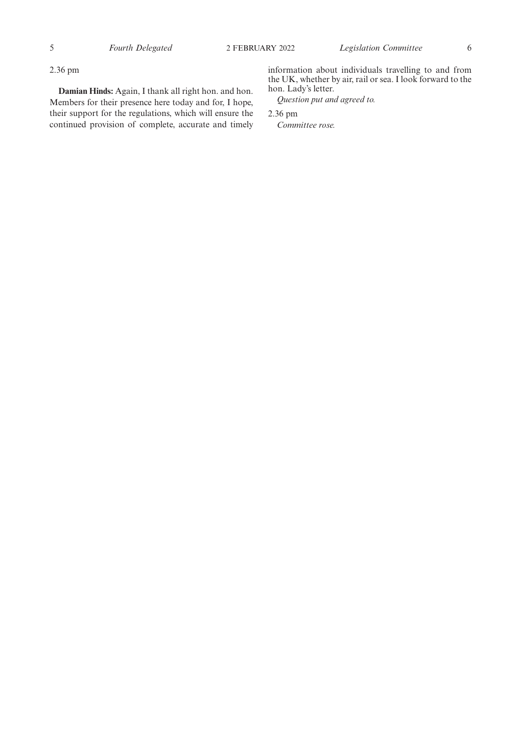2.36 pm

**Damian Hinds:** Again, I thank all right hon. and hon. Members for their presence here today and for, I hope, their support for the regulations, which will ensure the continued provision of complete, accurate and timely information about individuals travelling to and from the UK, whether by air, rail or sea. I look forward to the hon. Lady's letter.

*Question put and agreed to.*

2.36 pm

*Committee rose.*